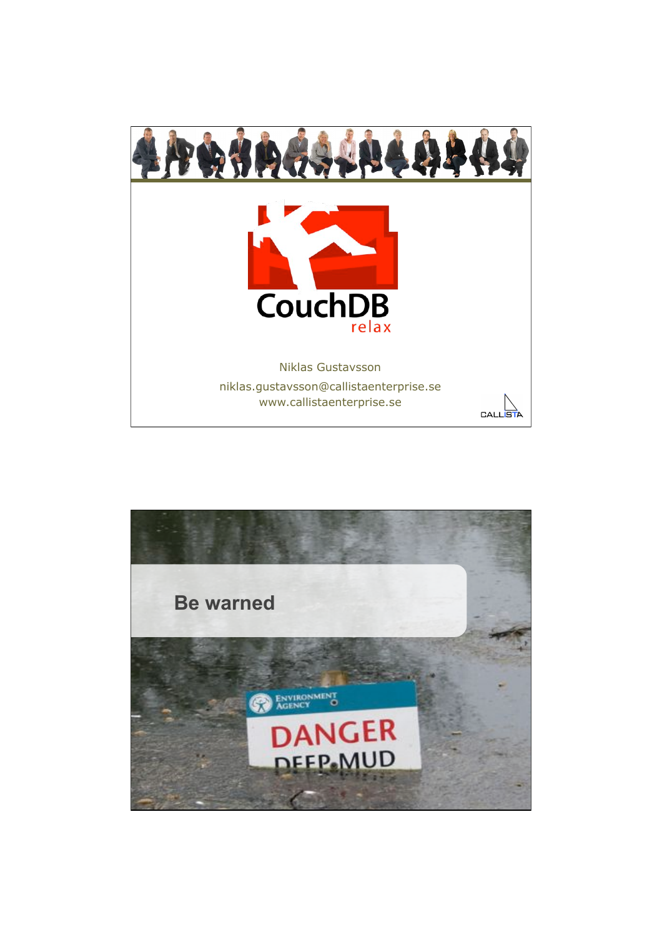

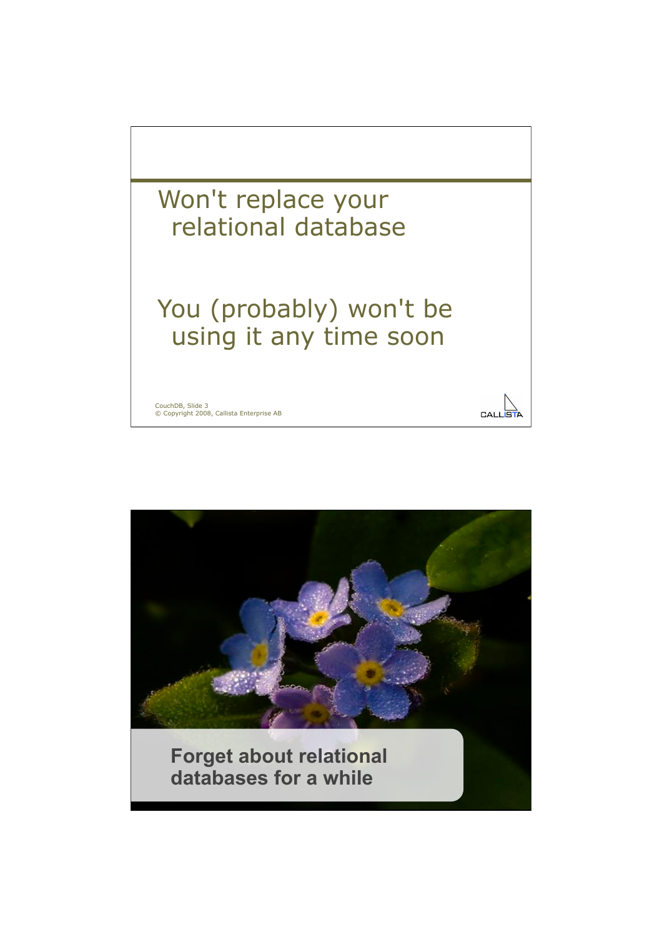

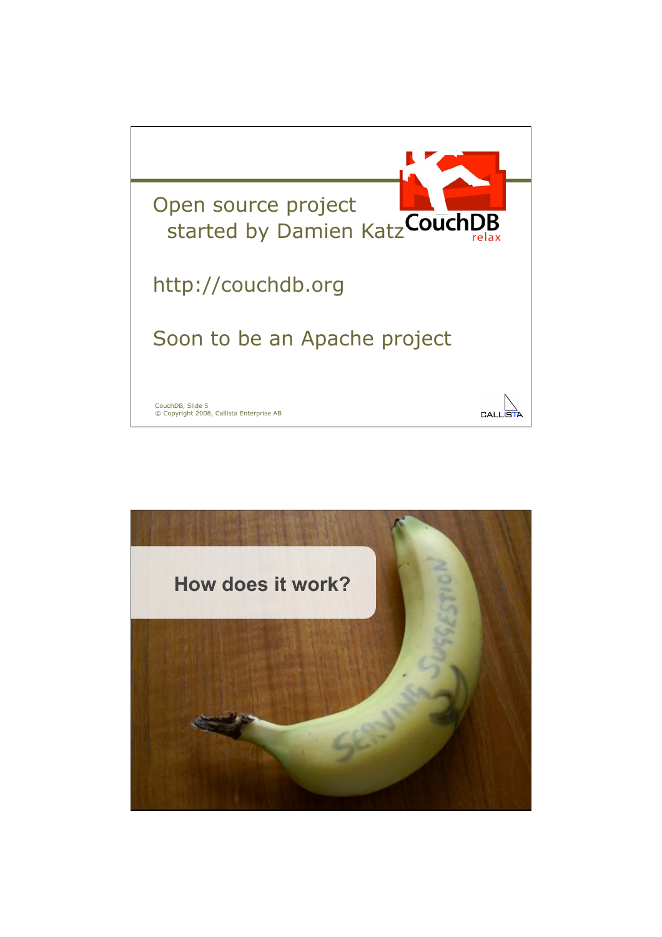

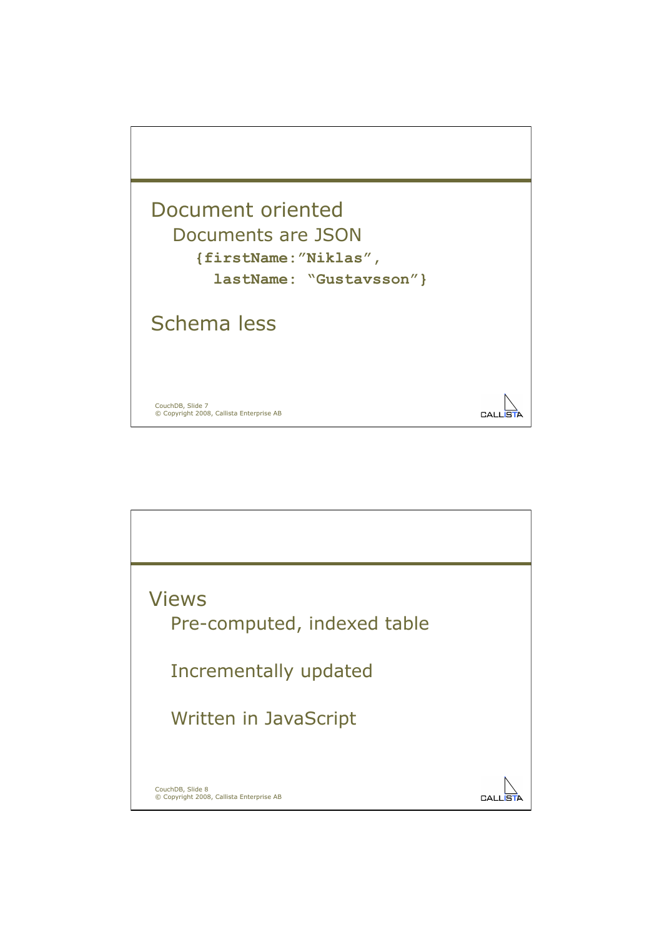

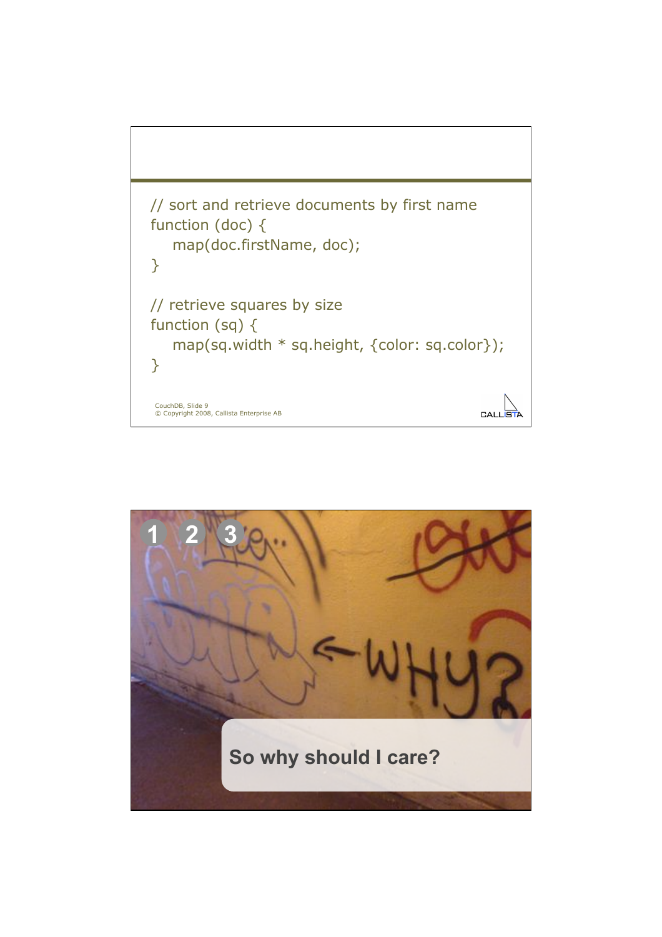

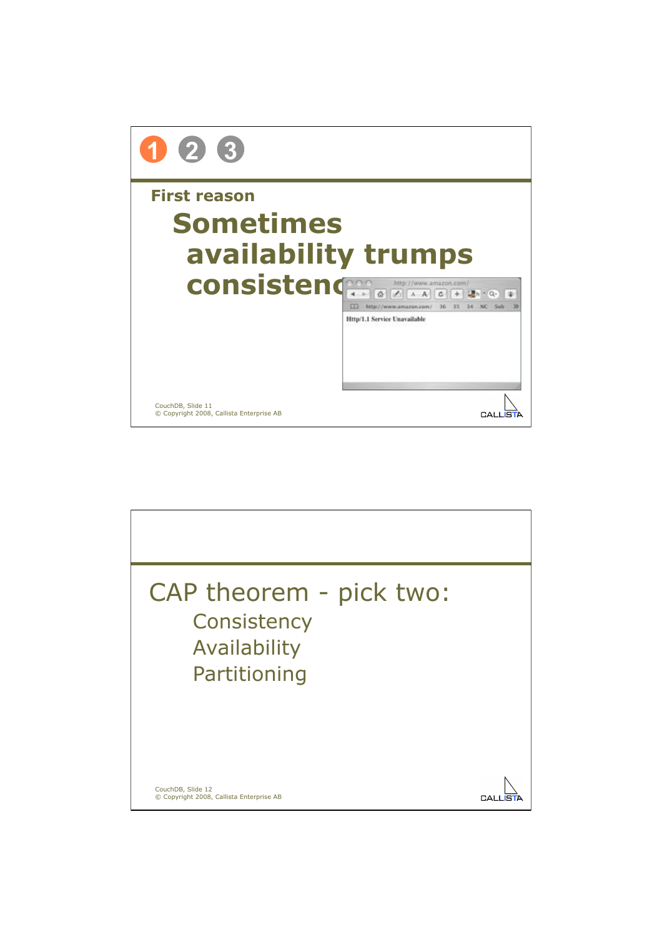

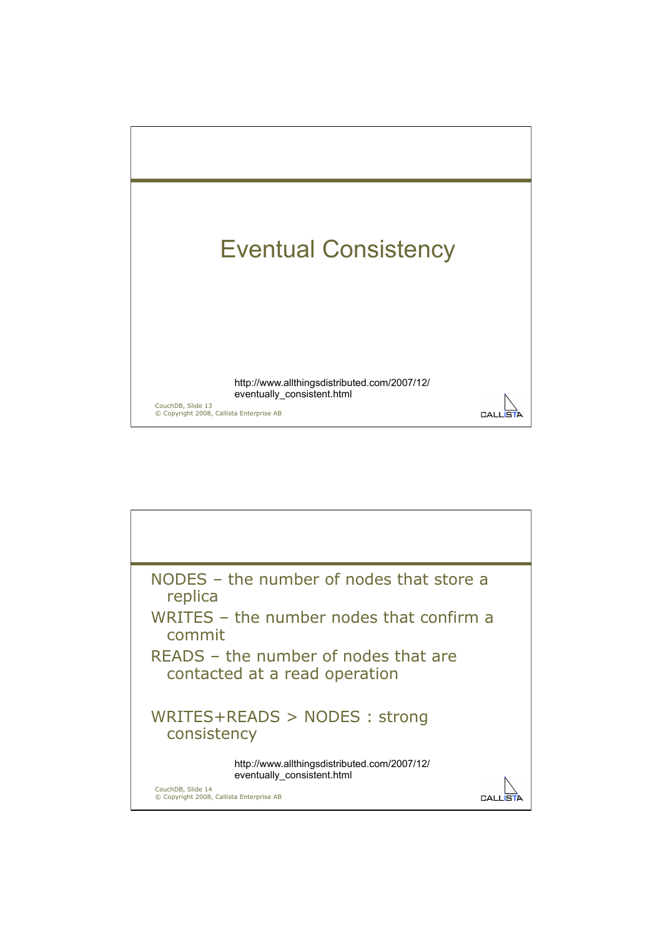

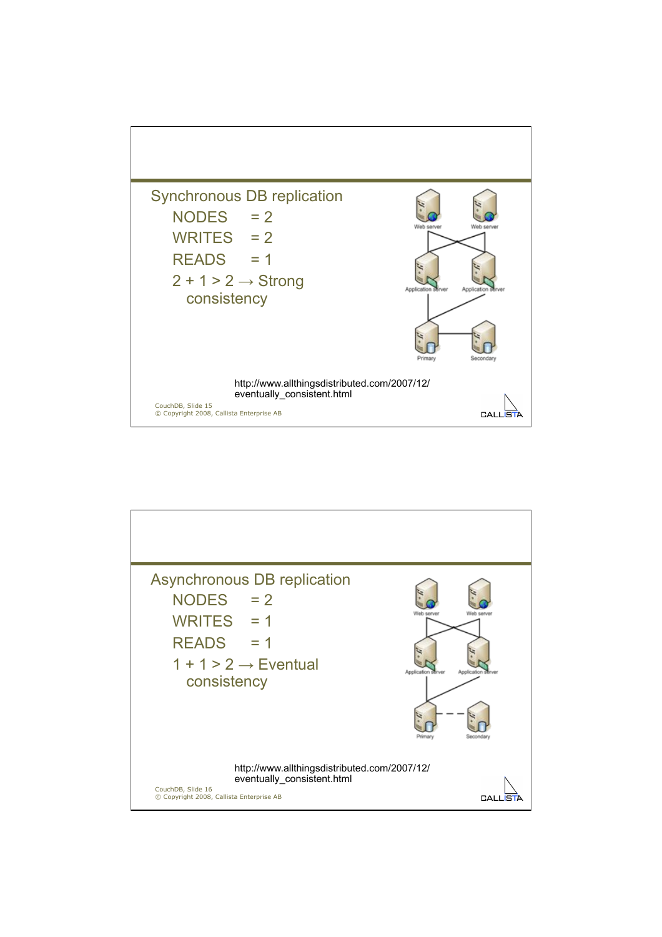

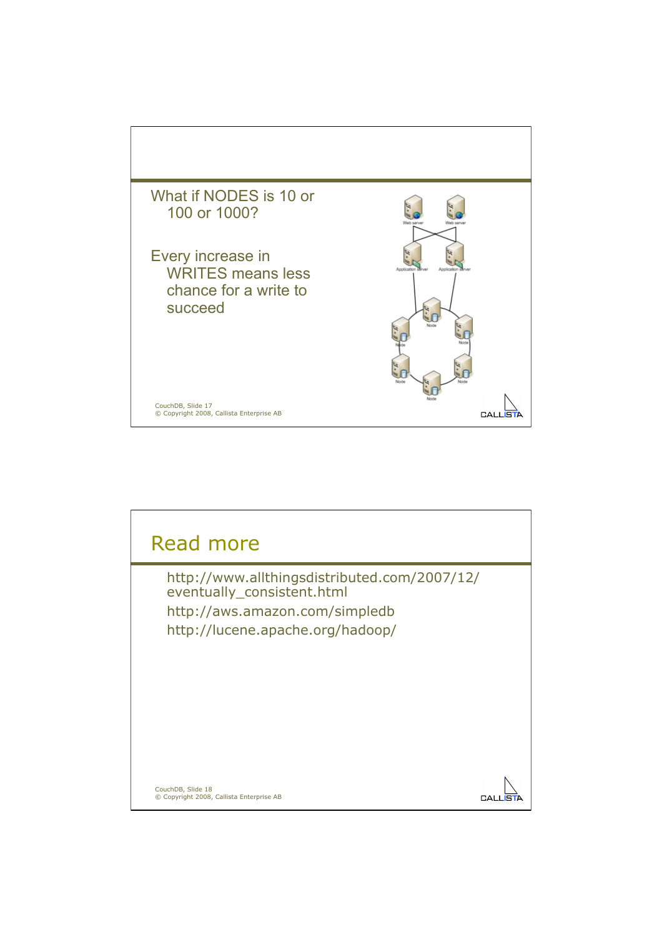

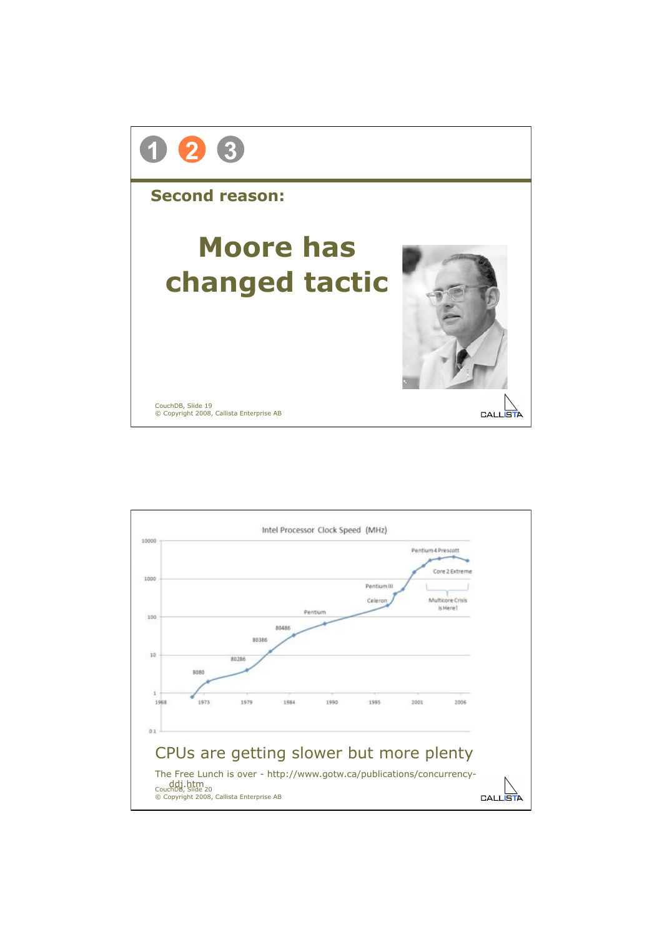

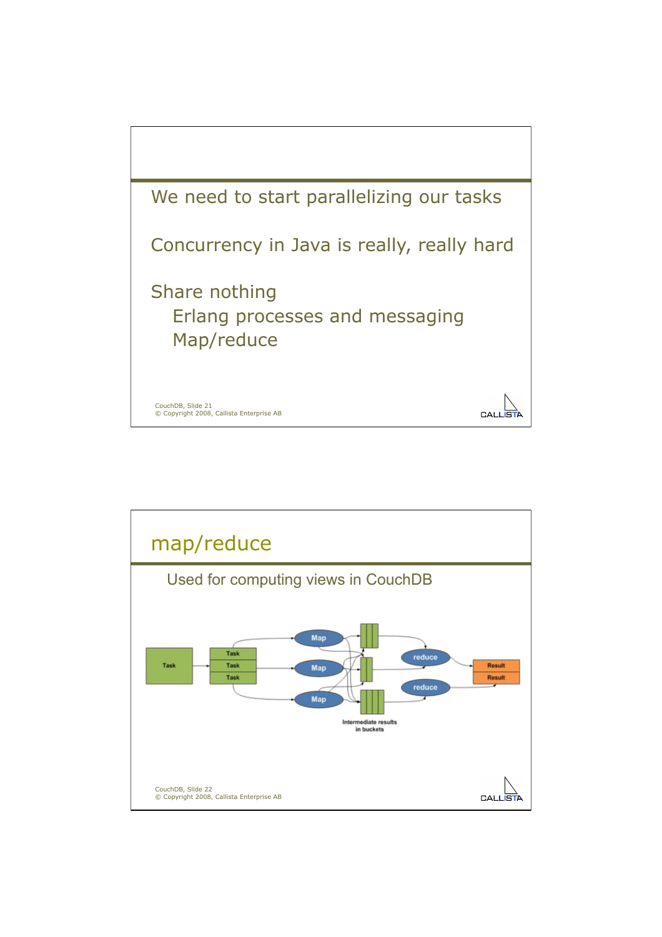

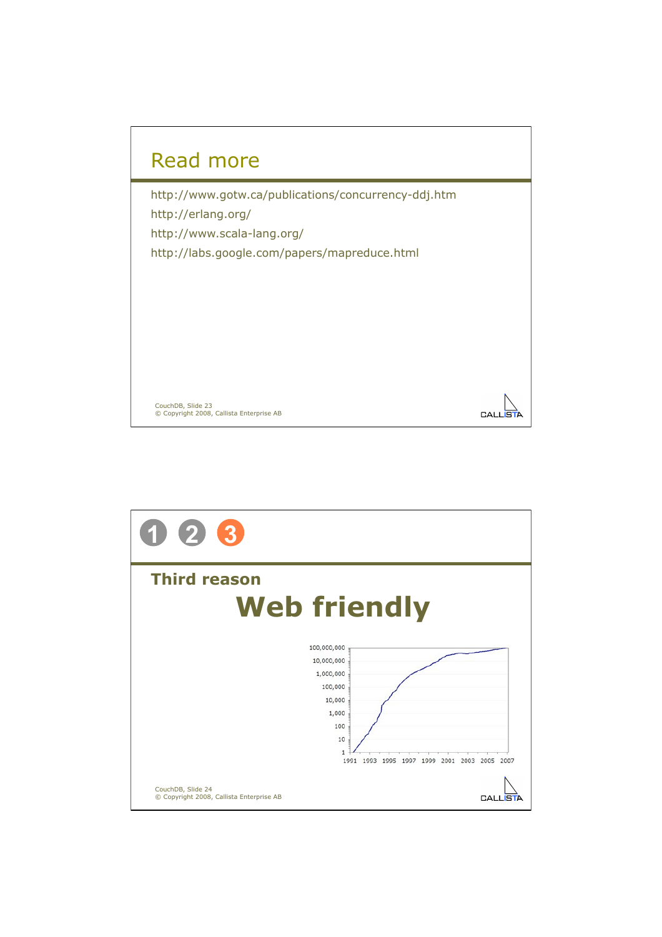

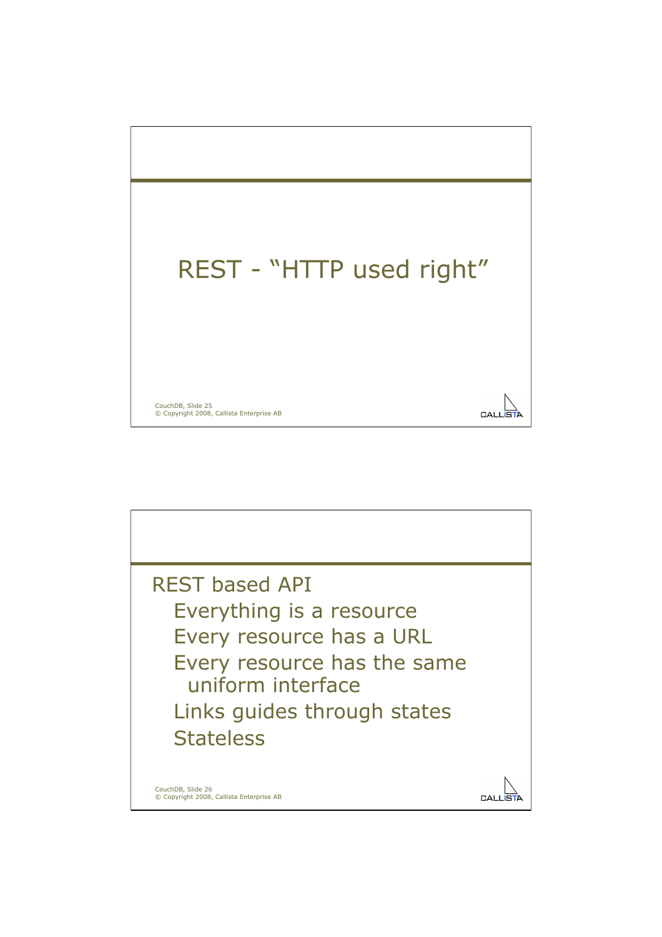

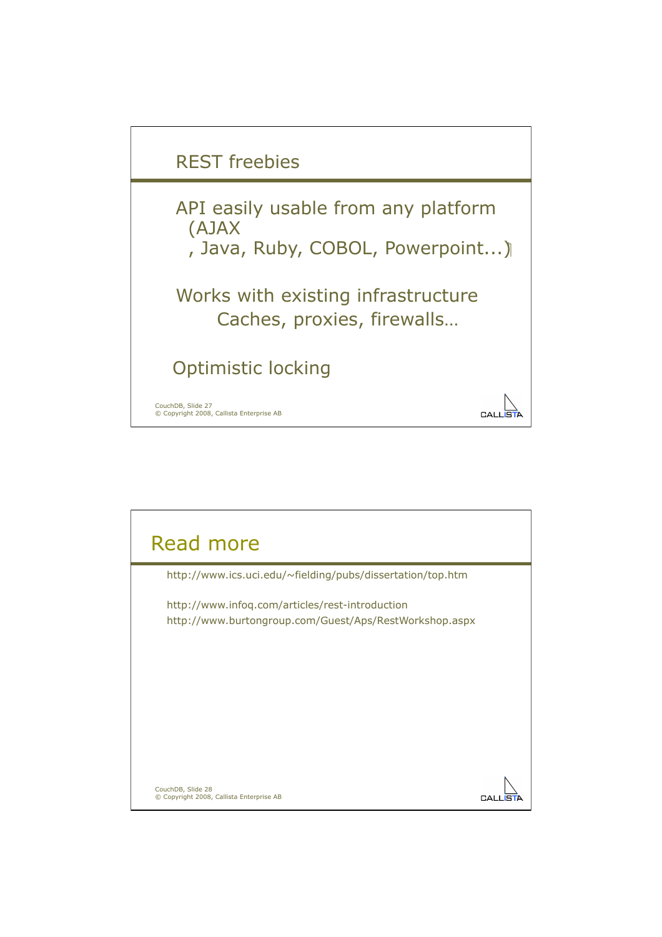

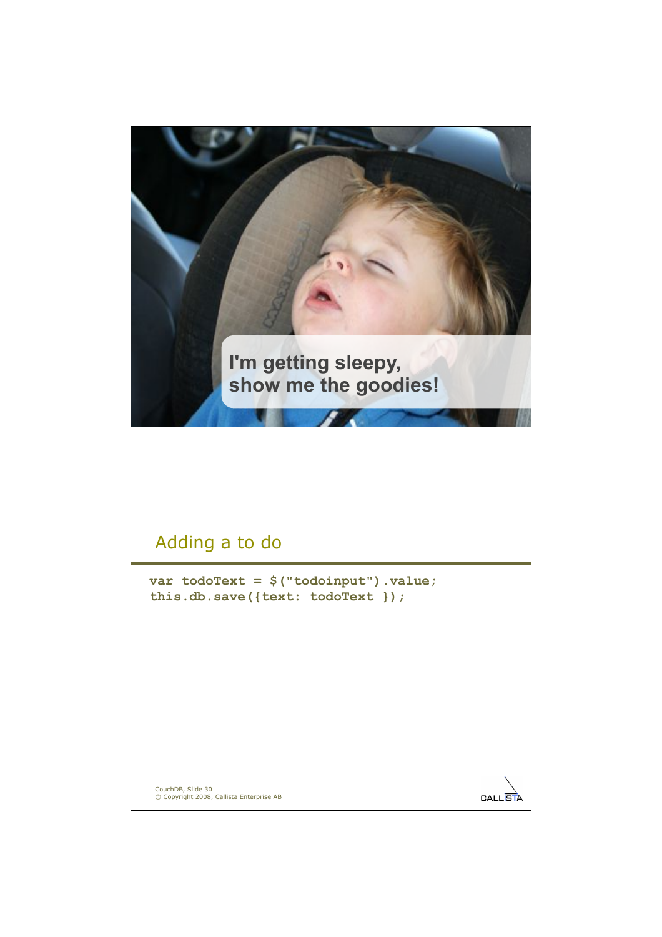

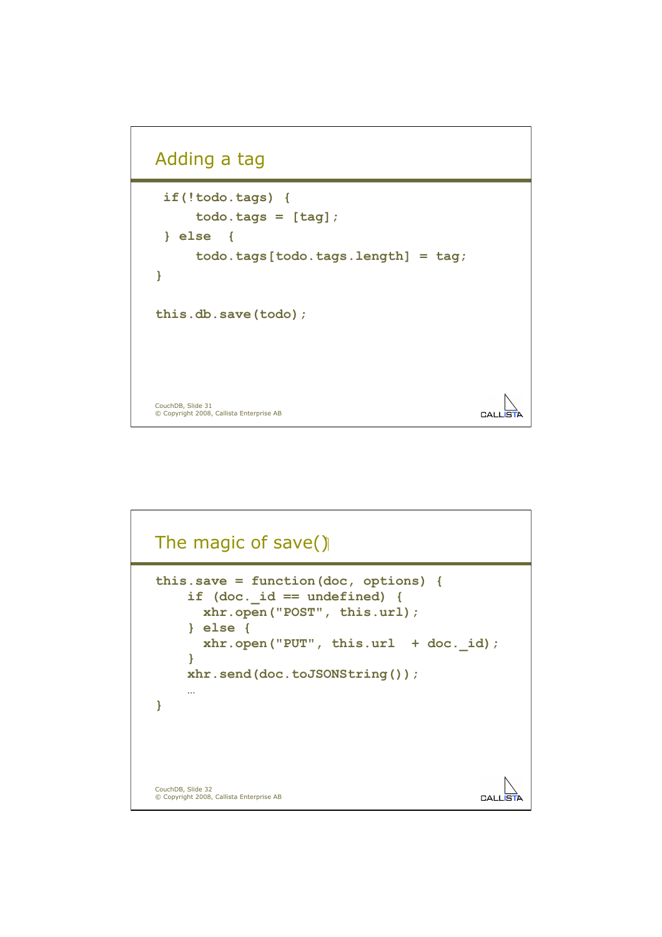## Adding a tag

```
 if(!todo.tags) { 
        todo.tags = [tag]; 
  } else { 
        todo.tags[todo.tags.length] = tag; 
} 
this.db.save(todo); 
CouchDB, Slide 31 
© Copyright 2008, Callista Enterprise AB 
                                                             CALLS
```